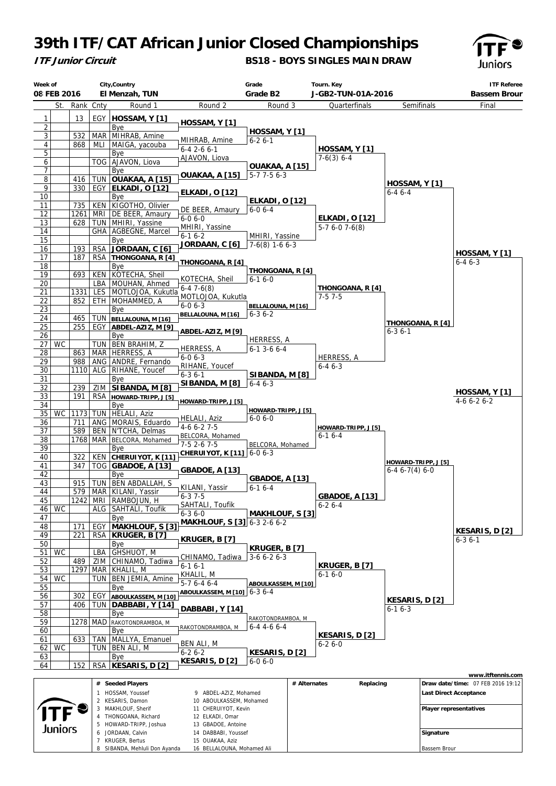## **39th ITF/CAT African Junior Closed Championships**



7 KRUGER, Bertus

8 SIBANDA, Mehluli Don Ayanda

15 OUAKAA Aziz

16 BELLALOUNA, Mohamed Ali

## **BS18 - BOYS SINGLES MAIN DRAW**



Bassem Brour

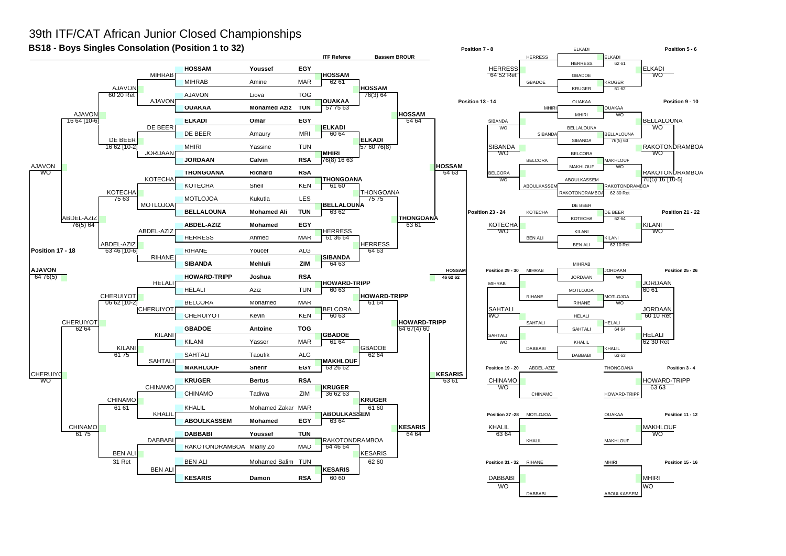## 39th ITF/CAT African Junior Closed Championships